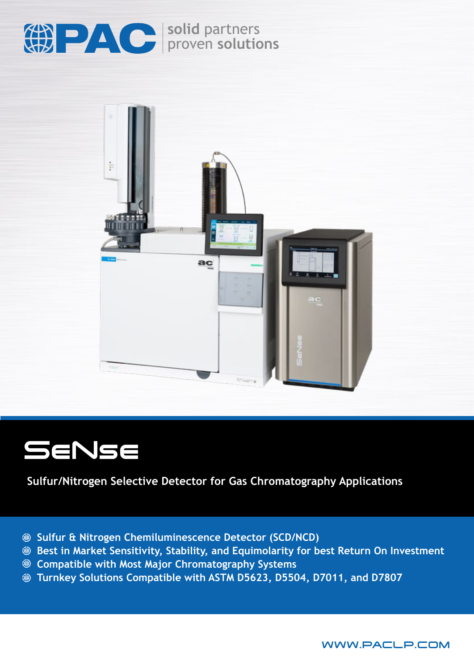

**solid** partners proven **solutions**



# SeNse

**Sulfur/Nitrogen Selective Detector for Gas Chromatography Applications**

- **Sulfur & Nitrogen Chemiluminescence Detector (SCD/NCD)**
- **Best in Market Sensitivity, Stability, and Equimolarity for best Return On Investment**
- **Compatible with Most Major Chromatography Systems**
- **Turnkey Solutions Compatible with ASTM D5623, D5504, D7011, and D7807**

WWW.PACLP.COM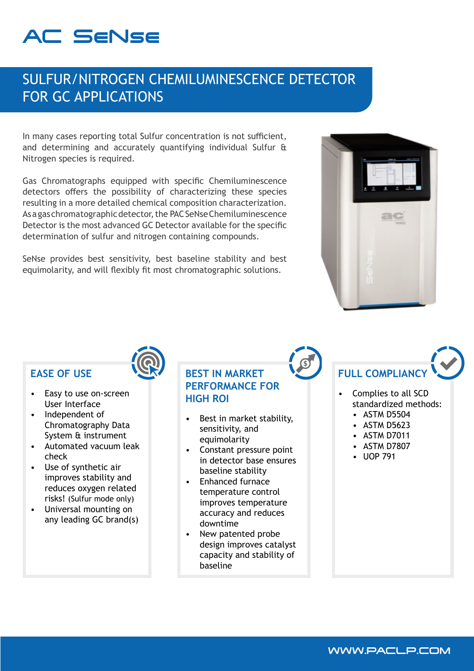## AC SeNse

## SULFUR/NITROGEN CHEMILUMINESCENCE DETECTOR FOR GC APPLICATIONS

In many cases reporting total Sulfur concentration is not sufficient, and determining and accurately quantifying individual Sulfur & Nitrogen species is required.

Gas Chromatographs equipped with specific Chemiluminescence detectors offers the possibility of characterizing these species resulting in a more detailed chemical composition characterization. As a gas chromatographic detector, the PAC SeNse Chemiluminescence Detector is the most advanced GC Detector available for the specific determination of sulfur and nitrogen containing compounds.

SeNse provides best sensitivity, best baseline stability and best equimolarity, and will flexibly fit most chromatographic solutions.



## **EASE OF USE**

- Easy to use on-screen User Interface
- Independent of Chromatography Data System & instrument
- Automated vacuum leak check
- Use of synthetic air improves stability and reduces oxygen related risks! (Sulfur mode only)
- Universal mounting on any leading GC brand(s)

## **BEST IN MARKET PERFORMANCE FOR HIGH ROI**

- Best in market stability, sensitivity, and equimolarity
- Constant pressure point in detector base ensures baseline stability
- Enhanced furnace temperature control improves temperature accuracy and reduces downtime
- New patented probe design improves catalyst capacity and stability of baseline

# **FULL COMPLIANC**

- Complies to all SCD standardized methods:
	- ASTM D5504
	- ASTM D5623
	- ASTM D7011
	- ASTM D7807
	- UOP 791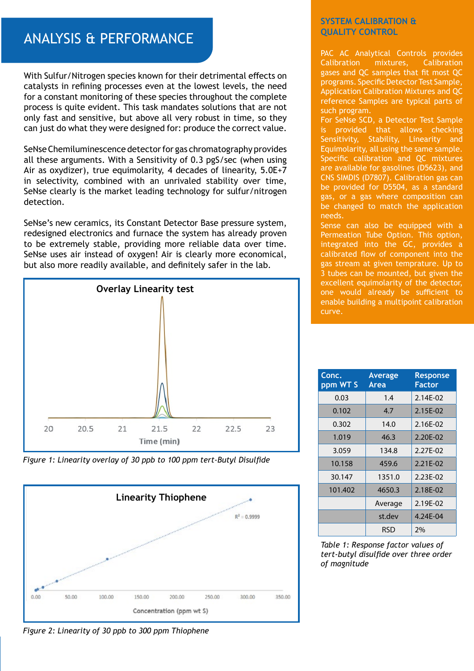## ANALYSIS & PERFORMANCE

With Sulfur/Nitrogen species known for their detrimental effects on catalysts in refining processes even at the lowest levels, the need for a constant monitoring of these species throughout the complete process is quite evident. This task mandates solutions that are not only fast and sensitive, but above all very robust in time, so they can just do what they were designed for: produce the correct value.

SeNse Chemiluminescence detector for gas chromatography provides all these arguments. With a Sensitivity of 0.3 pgS/sec (when using Air as oxydizer), true equimolarity, 4 decades of linearity, 5.0E+7 in selectivity, combined with an unrivaled stability over time, SeNse clearly is the market leading technology for sulfur/nitrogen detection.

SeNse's new ceramics, its Constant Detector Base pressure system, redesigned electronics and furnace the system has already proven to be extremely stable, providing more reliable data over time. SeNse uses air instead of oxygen! Air is clearly more economical, but also more readily available, and definitely safer in the lab.



*Figure 1: Linearity overlay of 30 ppb to 100 ppm tert-Butyl Disulfide*



### **SYSTEM CALIBRATION & QUALITY CONTROL**

PAC AC Analytical Controls provides Calibration mixtures, Calibration gases and QC samples that fit most QC programs. Specific Detector Test Sample, Application Calibration Mixtures and QC reference Samples are typical parts of such program.

For SeNse SCD, a Detector Test Sample is provided that allows checking Sensitivity, Stability, Linearity and Equimolarity, all using the same sample. Specific calibration and QC mixtures are available for gasolines (D5623), and CNS SIMDIS (D7807). Calibration gas can be provided for D5504, as a standard gas, or a gas where composition can be changed to match the application needs.

Sense can also be equipped with a Permeation Tube Option. This option, integrated into the GC, provides a calibrated flow of component into the gas stream at given temprature. Up to 3 tubes can be mounted, but given the excellent equimolarity of the detector, one would already be sufficient to enable building a multipoint calibration curve.

| Conc.<br>ppm WT S | Average<br>Area | <b>Response</b><br><b>Factor</b> |
|-------------------|-----------------|----------------------------------|
| 0.03              | 1.4             | 2.14E-02                         |
| 0.102             | 4.7             | 2.15E-02                         |
| 0.302             | 14.0            | 2.16E-02                         |
| 1.019             | 46.3            | 2.20E-02                         |
| 3.059             | 134.8           | 2.27F-02                         |
| 10.158            | 459.6           | 2.21E-02                         |
| 30.147            | 1351.0          | 2.23E-02                         |
| 101.402           | 4650.3          | 2.18E-02                         |
|                   | Average         | 2.19E-02                         |
|                   | st.dev          | 4.24E-04                         |
|                   | RSD             | 2%                               |

*Table 1: Response factor values of tert-butyl disulfide over three order of magnitude*

*Figure 2: Linearity of 30 ppb to 300 ppm Thiophene*